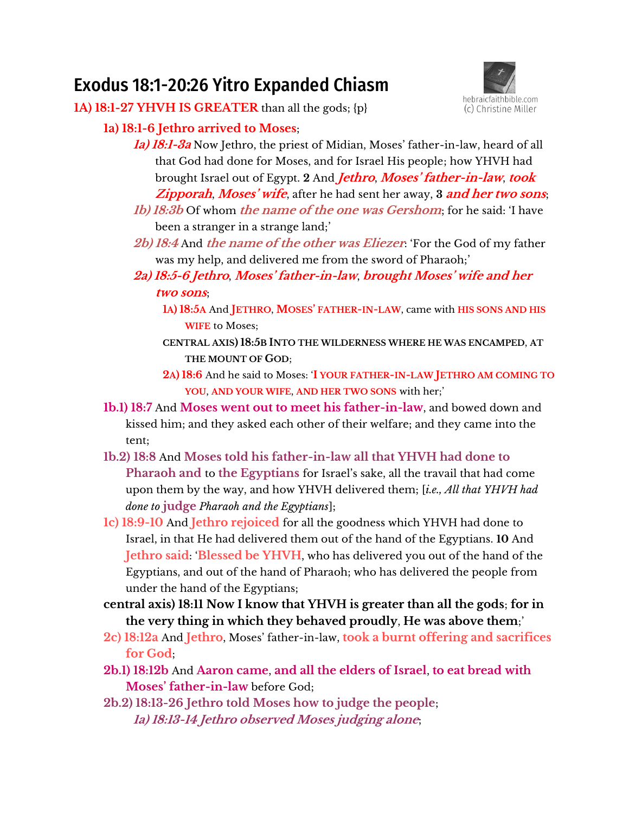# Exodus 18:1-20:26 Yitro Expanded Chiasm



**1A) 18:1-27 YHVH IS GREATER** than all the gods; {p}

## **1a) 18:1-6 Jethro arrived to Moses**;

- **1a) 18:1-3a** Now Jethro, the priest of Midian, Moses' father-in-law, heard of all that God had done for Moses, and for Israel His people; how YHVH had brought Israel out of Egypt. **2** And **Jethro**, **Moses' father-in-law**, **took Zipporah**, **Moses' vife**, after he had sent her away, **3 and her two sons**;
- **1b) 18:3b** Of whom **the name of the one was Gershom**; for he said: 'I have been a stranger in a strange land;'
- **2b) 18:4** And **the name of the other was Eliezer**: 'For the God of my father was my help, and delivered me from the sword of Pharaoh;'
- **2a) 18:5-6 Jethro**, **Moses' father-in-law**, **rrought Moses' vife anq her two sons**;
	- **1A) 18:5A** And **JETHRO**, **MOSES' FATHER-IN-LAW**, came with **HIS SONS AND HIS WIFE** to Moses;
	- **CENTRAL AXIS) 18:5B INTO THE WILDERNESS WHERE HE WAS ENCAMPED**, **AT THE MOUNT OF GOD**;
	- **2A) 18:6** And he said to Moses: '**I YOUR FATHER-IN-LAW JETHRO AM COMING TO YOU**, **AND YOUR WIFE**, **AND HER TWO SONS** with her;'
- **1b.1) 18:7** And **Moses went out to meet his father-in-law**, and bowed down and kissed him; and they asked each other of their welfare; and they came into the tent;
- **1b.2) 18:8** And **Moses told his father-in-law all that YHVH had done to Pharaoh and to the Egyptians** for Israel's sake, all the travail that had come upon them by the way, and how YHVH delivered them; [*i.e., All that YHVH had done to* **judge** *Pharaoh and the Egyptians*];
- **1c) 18:9-10** And **Jethro rejoiced** for all the goodness which YHVH had done to Israel, in that He had delivered them out of the hand of the Egyptians. **10** And **Jethro said**: '**Blessed be YHVH**, who has delivered you out of the hand of the Egyptians, and out of the hand of Pharaoh; who has delivered the people from under the hand of the Egyptians;
- **central axis) 18:11 Now I know that YHVH is greater than all the gods**; **for in the very thing in which they behaved proudly**, **He was above them**;'
- **2c) 18:12a** And **Jethro**, Moses' father-in-law, **took a burnt offering and sacrifices for God**;
- **2b.1) 18:12b** And **Aaron came**, **and all the elders of Israel**, **to eat bread with Moses' father-in-law** before God;
- **2b.2) 18:13-26 Jethro told Moses how to judge the people**; **1a) 18:13-14 Jethro observed Moses judging alone**;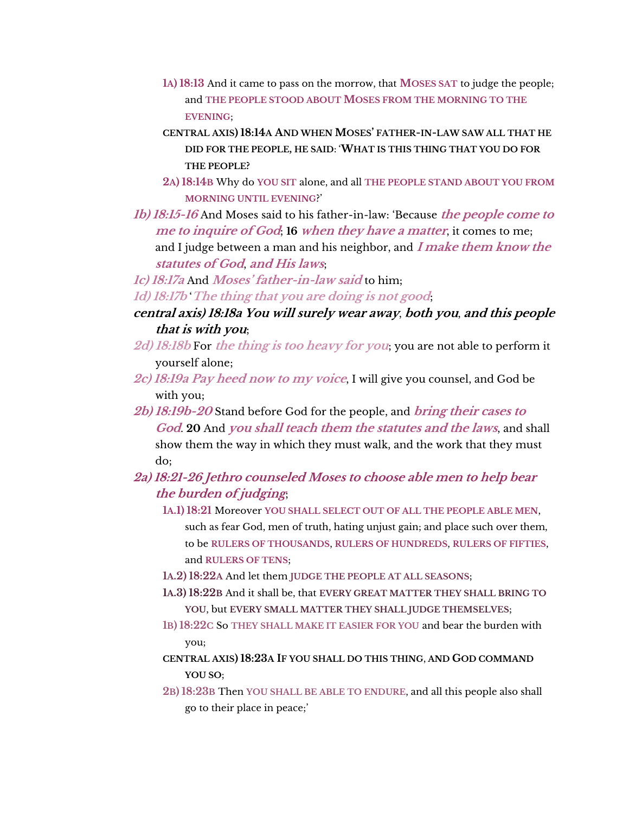- **1A) 18:13** And it came to pass on the morrow, that **MOSES SAT** to judge the people; and **THE PEOPLE STOOD ABOUT MOSES FROM THE MORNING TO THE EVENING**;
- **CENTRAL AXIS) 18:14A AND WHEN MOSES' FATHER-IN-LAW SAW ALL THAT HE DID FOR THE PEOPLE, HE SAID**: '**WHAT IS THIS THING THAT YOU DO FOR THE PEOPLE?**
- **2A) 18:14B** Why do **YOU SIT** alone, and all **THE PEOPLE STAND ABOUT YOU FROM MORNING UNTIL EVENING**?'
- **1b) 18:15-16** And Moses said to his father-in-law: 'Because **the people come to me to inquire of God**; **16 when they have a matter**, it comes to me; and I judge between a man and his neighbor, and **I make them know the statutes of God**, **and His laws**;

**1c) 18:17a** And **Moses' father-in-law said** to him; **1d) 18:17b** '**The thing that you are doing is not good**;

- **central axis) 18:18a You will surely wear away**, **both you**, **and this people that is with you**;
- **2d) 18:18b** For **the thing is too heavy for you**; you are not able to perform it yourself alone;
- **2c) 18:19a Pay heed now to my voice**, I will give you counsel, and God be with you;
- **2b) 18:19b-20** Stand before God for the people, and **bring their cases to God**. **20** And **you shall teach them the statutes and the laws**, and shall show them the way in which they must walk, and the work that they must do;
- **2a) 18:21-26 Jethro counseled Moses to choose able men to help bear the burden of judging**;
	- **1A.1) 18:21** Moreover **YOU SHALL SELECT OUT OF ALL THE PEOPLE ABLE MEN**, such as fear God, men of truth, hating unjust gain; and place such over them, to be **RULERS OF THOUSANDS**, **RULERS OF HUNDREDS**, **RULERS OF FIFTIES**, and **RULERS OF TENS**;
	- **1A.2) 18:22A** And let them **JUDGE THE PEOPLE AT ALL SEASONS**;
	- **1A.3) 18:22B** And it shall be, that **EVERY GREAT MATTER THEY SHALL BRING TO YOU**, but **EVERY SMALL MATTER THEY SHALL JUDGE THEMSELVES**;
	- **1B) 18:22C** So **THEY SHALL MAKE IT EASIER FOR YOU** and bear the burden with you;
	- **CENTRAL AXIS) 18:23A IF YOU SHALL DO THIS THING**, **AND GOD COMMAND YOU SO**;
	- **2B) 18:23B** Then **YOU SHALL BE ABLE TO ENDURE**, and all this people also shall go to their place in peace;'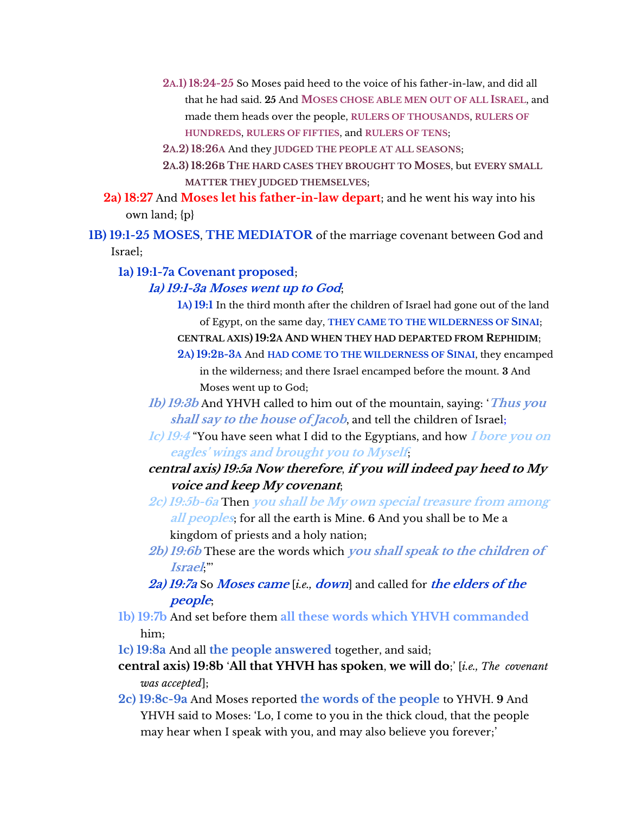- **2A.1) 18:24-25** So Moses paid heed to the voice of his father-in-law, and did all that he had said. **25** And **MOSES CHOSE ABLE MEN OUT OF ALL ISRAEL**, and made them heads over the people, **RULERS OF THOUSANDS**, **RULERS OF HUNDREDS**, **RULERS OF FIFTIES**, and **RULERS OF TENS**;
- **2A.2) 18:26A** And they **JUDGED THE PEOPLE AT ALL SEASONS**;
- **2A.3) 18:26B THE HARD CASES THEY BROUGHT TO MOSES**, but **EVERY SMALL MATTER THEY JUDGED THEMSELVES**;
- **2a) 18:27** And **Moses let his father-in-law depart**; and he went his way into his own land; {p}
- **1B) 19:1-25 MOSES**, **THE MEDIATOR** of the marriage covenant between God and Israel;

**1a) 19:1-7a Covenant proposed**;

#### **1a) 19:1-3a Moses went up to God**;

- **1A) 19:1** In the third month after the children of Israel had gone out of the land of Egypt, on the same day, **THEY CAME TO THE WILDERNESS OF SINAI**;
- **CENTRAL AXIS) 19:2A AND WHEN THEY HAD DEPARTED FROM REPHIDIM**;
- **2A) 19:2B-3A** And **HAD COME TO THE WILDERNESS OF SINAI**, they encamped in the wilderness; and there Israel encamped before the mount. **3** And Moses went up to God;
- **1b) 19:3b** And YHVH called to him out of the mountain, saying: '**Thus you shall say to the house of Jacob**, and tell the children of Israel;
- **1c) 19:4** "You have seen what I did to the Egyptians, and how **I bore you on**  *eagles' wings and brought you to Myself*
- **central axis) 19:5a Now therefore**, **if you will indeed pay heed to My voice and keep My covenant**;
- **2c) 19:5b-6a** Then **you shall be My own special treasure from among all peoples**; for all the earth is Mine. **6** And you shall be to Me a kingdom of priests and a holy nation;
- **2b) 19:6b** These are the words which **you shall speak to the children of Israel**;"'

### **2a) 19:7a** So **Moses came** [*i.e.,* **down**] and called for **the elders of the people**;

- **1b) 19:7b** And set before them **all these words which YHVH commanded** him;
- **1c) 19:8a** And all **the people answered** together, and said;
- **central axis) 19:8b** '**All that YHVH has spoken**, **we will do**;' [*i.e., The covenant was accepted*];
- **2c) 19:8c-9a** And Moses reported **the words of the people** to YHVH. **9** And YHVH said to Moses: 'Lo, I come to you in the thick cloud, that the people may hear when I speak with you, and may also believe you forever;'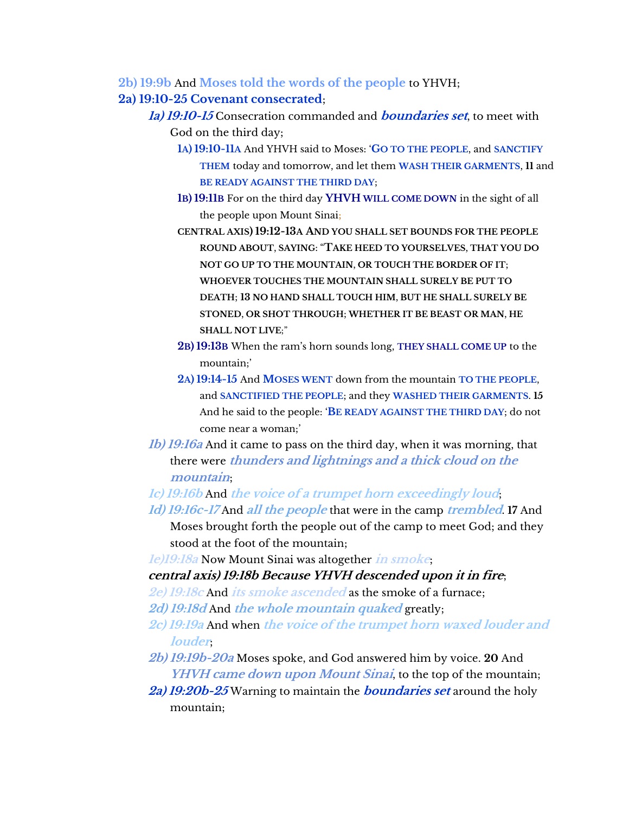**2b) 19:9b** And **Moses told the words of the people** to YHVH;

#### **2a) 19:10-25 Covenant consecrated**;

- **1a) 19:10-15** Consecration commanded and **boundaries set**, to meet with God on the third day;
	- **1A) 19:10-11A** And YHVH said to Moses: '**GO TO THE PEOPLE**, and **SANCTIFY THEM** today and tomorrow, and let them **WASH THEIR GARMENTS**, **11** and **BE READY AGAINST THE THIRD DAY**;
	- **1B) 19:11B** For on the third day **YHVH WILL COME DOWN** in the sight of all the people upon Mount Sinai;
	- **CENTRAL AXIS) 19:12-13A AND YOU SHALL SET BOUNDS FOR THE PEOPLE ROUND ABOUT**, **SAYING**: "**TAKE HEED TO YOURSELVES**, **THAT YOU DO NOT GO UP TO THE MOUNTAIN**, **OR TOUCH THE BORDER OF IT**; **WHOEVER TOUCHES THE MOUNTAIN SHALL SURELY BE PUT TO DEATH**; **13 NO HAND SHALL TOUCH HIM**, **BUT HE SHALL SURELY BE STONED**, **OR SHOT THROUGH**; **WHETHER IT BE BEAST OR MAN**, **HE SHALL NOT LIVE**;"
	- **2B) 19:13B** When jhe ram'i horn iounqi long, **THEY SHALL COME UP** to the mountain;'
	- **2A) 19:14-15** And **MOSES WENT** down from the mountain **TO THE PEOPLE**, and **SANCTIFIED THE PEOPLE**; and they **WASHED THEIR GARMENTS**. **15** And he said to the people: '**BE READY AGAINST THE THIRD DAY**; do not come near a woman;'
- **1b) 19:16a** And it came to pass on the third day, when it was morning, that there were **thunders and lightnings and a thick cloud on the mountain**;
- **1c) 19:16b** And **the voice of a trumpet horn exceedingly loud**;
- **1d) 19:16c-17** And **all the people** that were in the camp **trembled**. **17** And Moses brought forth the people out of the camp to meet God; and they stood at the foot of the mountain;
- **1e)19:18a** Now Mount Sinai was altogether **in smoke**;

#### **central axis) 19:18b Because YHVH descended upon it in fire**;

- **2e) 19:18c** And **its smoke ascended** as the smoke of a furnace;
- **2d) 19:18d** And **the whole mountain quaked** greatly;
- **2c) 19:19a** And when **the voice of the trumpet horn waxed louder and louder**;
- **2b) 19:19b-20a** Moses spoke, and God answered him by voice. **20** And **YHVH came down upon Mount Sinai**, to the top of the mountain;
- **2a) 19:20b-25** Warning to maintain the **boundaries set** around the holy mountain;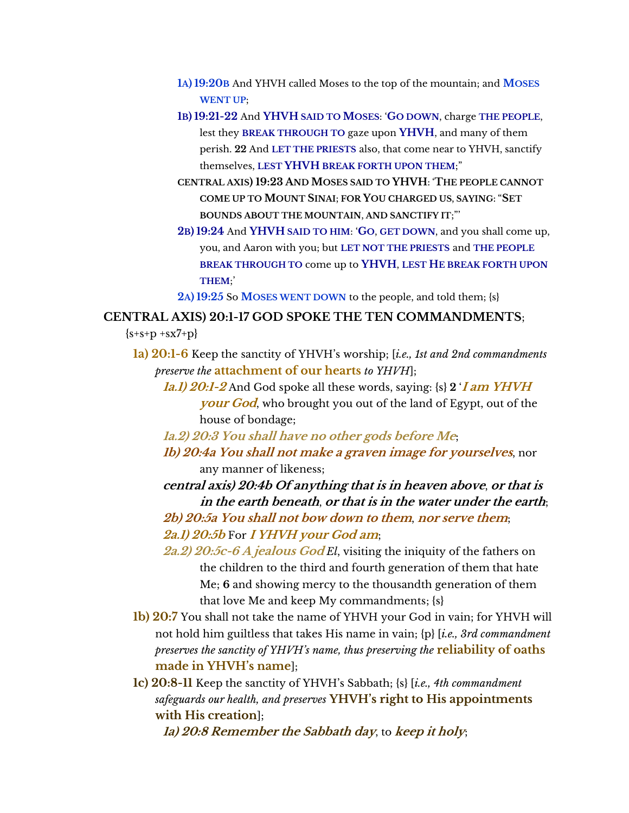- **1A) 19:20B** And YHVH called Moses to the top of the mountain; and **MOSES WENT UP**;
- **1B) 19:21-22** And **YHVH SAID TO MOSES**: '**GO DOWN**, charge **THE PEOPLE**, lest they **BREAK THROUGH TO** gaze upon **YHVH**, and many of them perish. **22** And **LET THE PRIESTS** also, that come near to YHVH, sanctify themselves, **LEST YHVH BREAK FORTH UPON THEM**;"
- **CENTRAL AXIS) 19:23 AND MOSES SAID TO YHVH**: '**THE PEOPLE CANNOT COME UP TO MOUNT SINAI**; **FOR YOU CHARGED US**, **SAYING**: "**SET BOUNDS ABOUT THE MOUNTAIN**, **AND SANCTIFY IT**;"'
- **2B) 19:24** And **YHVH SAID TO HIM**: '**GO**, **GET DOWN**, and you shall come up, you, and Aaron with you; but **LET NOT THE PRIESTS** and **THE PEOPLE BREAK THROUGH TO** come up to **YHVH**, **LEST HE BREAK FORTH UPON THEM**;'

**2A) 19:25** So **MOSES WENT DOWN** to the people, and told them; {s}

#### **CENTRAL AXIS) 20:1-17 GOD SPOKE THE TEN COMMANDMENTS**;

 ${s+s+p + sx7+p}$ 

- **1a) 20:1-6** Keep the sanctity of YHVH's worship; [*i.e., 1st and 2nd commandments preserve the* **attachment of our hearts** *to YHVH*];
	- **1a.1) 20:1-2** And God spoke all these words, saying: {s} **2** '**I am YHVH your God**, who brought you out of the land of Egypt, out of the house of bondage;
	- **1a.2) 20:3 You shall have no other gods before Me**;
	- **1b) 20:4a You shall not make a graven image for yourselves**, nor any manner of likeness;

**central axis) 20:4b Of anything that is in heaven above**, **or that is in the earth beneath**, **or that is in the water under the earth**; **2b) 20:5a You shall not bow down to them**, **nor serve them**;

**2a.1) 20:5b** For **I YHVH your God am**;

- **2a.2) 20:5c-6 A jealous God** *El*, visiting the iniquity of the fathers on the children to the third and fourth generation of them that hate Me; **6** and showing mercy to the thousandth generation of them that love Me and keep My commandments; {s}
- **1b) 20:7** You shall not take the name of YHVH your God in vain; for YHVH will not hold him guiltless that takes His name in vain; {p} [*i.e., 3rd commandment preserves the sanctity of YHVH's name, thus preserving the* **reliability of oaths maqe in YHVH's name**];
- **1c) 20:8-11** Keep the sanctity of YHVH's Sabbath; {s} [*i.e., 4th commandment safeguards our health, and preserves* **YHVH's right to His appointments with His creation**];

**1a) 20:8 Remember the Sabbath day**, to **keep it holy**;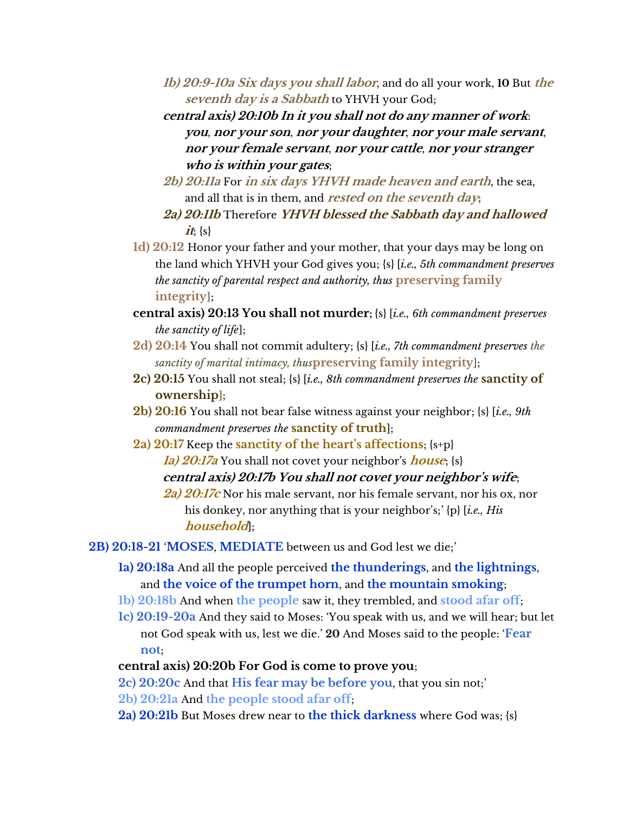- **1b) 20:9-10a Six days you shall labor**, and do all your work, **10** But **the seventh day is a Sabbath** to YHVH your God;
- **central axis) 20:10b In it you shall not do any manner of work**: **you**, **nor your son**, **nor your daughter**, **nor your male servant**, **nor your female servant**, **nor your cattle**, **nor your stranger who is within your gates**;
- **2b) 20:11a** For **in six days YHVH made heaven and earth**, the sea, and all that is in them, and **rested on the seventh day**;
- **2a) 20:11b** Therefore **YHVH blessed the Sabbath day and hallowed**   $it$ ; {s}
- **1d) 20:12** Honor your father and your mother, that your days may be long on the land which YHVH your God gives you; {s} [*i.e., 5th commandment preserves the sanctity of parental respect and authority, thus* **preserving family integrity**];
- **central axis) 20:13 You shall not murder;** {s} [*i.e., 6th commandment preserves the sanctity of life*];
- **2d) 20:14** You shall not commit adultery; {s} [*i.e., 7th commandment preserves the sanctity of marital intimacy, thus***preserving family integrity**];
- **2c) 20:15** You shall not steal; {s} [*i.e., 8th commandment preserves the* **sanctity of ownership**];
- **2b) 20:16** You shall not bear false witness against your neighbor; {s} [*i.e., 9th commandment preserves the* **sanctity of truth**];
- **2a) 20:17** Keep the **sanctity of the heart's affections**; {s+p} **1a) 20:17a** You shall not covet your neighbor's **house**; {s} central axis) 20:17b You shall not covet your neighbor's wife; **2a) 20:17c** Nor his male servant, nor his female servant, nor his ox, nor
	- his donkey, nor anything that is your neighbor's;' {p} [*i.e., His* **household**];

**2B) 20:18-21** '**MOSES**, **MEDIATE** between us and God lest we die;'

- **1a) 20:18a** And all the people perceived **the thunderings**, and **the lightnings**, and **the voice of the trumpet horn**, and **the mountain smoking**;
- **1b) 20:18b** And when **the people** saw it, they trembled, and **stood afar off**;
- **1c) 20:19-20a** And they said to Moses: 'You speak with us, and we will hear; but let not God speak with us, lest we die.' **20** And Moses said to the people: '**Fear not**;
- **central axis) 20:20b For God is come to prove you**;
- **2c) 20:20c** And that **His fear may be before you**, that you sin not;'
- **2b) 20:21a** And **the people stood afar off**;
- **2a) 20:21b** But Moses drew near to **the thick darkness** where God was; {s}